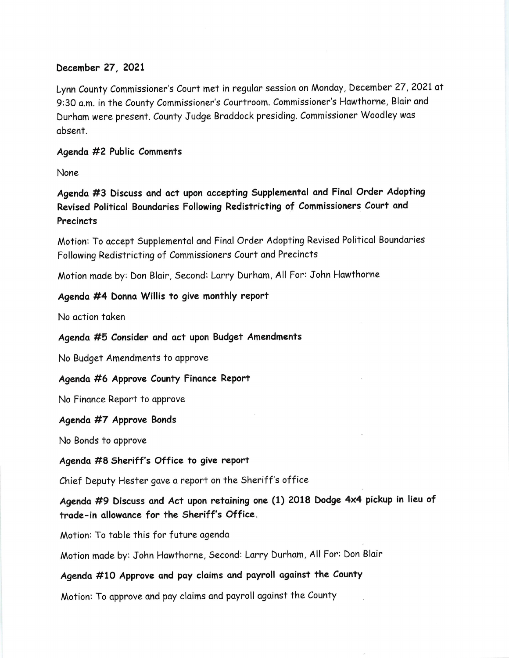# December 27, 2021

Lynn County Commissioner's Court met in regular session on Monday, December 27, 2021 at 9:30 a.m. in the County Commissioner's Courtroom. Commissioner's Hawthorne, Blair and Durham were present. County Judge Braddock presiding. Commissioner Woodley was obsent.

### Agendo #2 Public Comments

None

Agenda #3 Discuss and act upon accepting Supplemental and Final Order Adopting Revised Politicol Boundories Following Redistricting of Commissioners Court ond **Precincts** 

Motion: To accept Supplemental and Final Order Adopting Revised Political Boundaries Following Redistricting of Commissioners Court and Precincts

Motion made by: Don Blair, Second: Larry Durham, All For: John Hawthorne

### Agendo #4 Donno Willis to give monthly report

No action taken

Agenda #5 Consider and act upon Budget Amendments

No Budget Amendments to approve

Agenda #6 Approve County Finance Report

No Finance Report to approve

#### Agenda #7 Approve Bonds

No Bonds to opprove

Agenda #8 Sheriff's Office to give report

Chief Deputy Hester gove a report on the Sheriff's office

Agenda #9 Discuss ond Act upon retoining one (1) 2Ol8 Dodge 4x4 pickup in lieu of trade-in allowance for the Sheriff's Office.

Motion: To table this for future agenda

Motion made by: John Hawthorne, Second: Larry Durham, All For: Don Blair

# Agenda #10 Approve and pay claims and payroll against the County

Motion: To approve and pay claims and payroll against the County